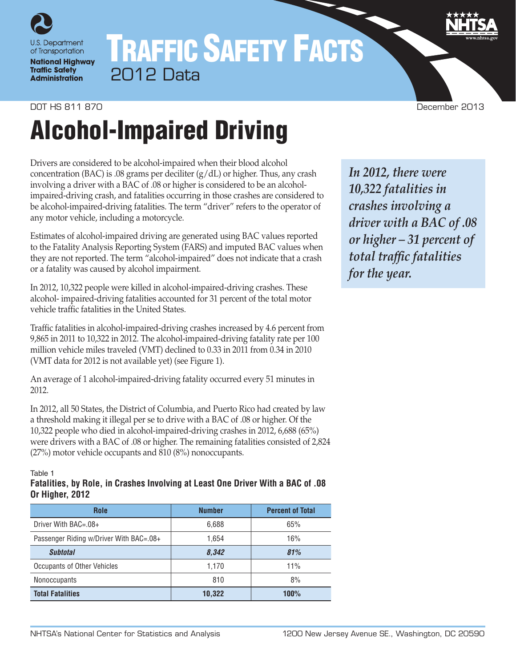

# TRAFFIC SAFETY FACTS 2012 Data

# DOT HS 811 870 December 2013

# Alcohol-Impaired Driving

Drivers are considered to be alcohol-impaired when their blood alcohol concentration (BAC) is .08 grams per deciliter  $(g/dL)$  or higher. Thus, any crash involving a driver with a BAC of .08 or higher is considered to be an alcoholimpaired-driving crash, and fatalities occurring in those crashes are considered to be alcohol-impaired-driving fatalities. The term "driver" refers to the operator of any motor vehicle, including a motorcycle.

Estimates of alcohol-impaired driving are generated using BAC values reported to the Fatality Analysis Reporting System (FARS) and imputed BAC values when they are not reported. The term "alcohol-impaired" does not indicate that a crash or a fatality was caused by alcohol impairment.

In 2012, 10,322 people were killed in alcohol-impaired-driving crashes. These alcohol- impaired-driving fatalities accounted for 31 percent of the total motor vehicle traffic fatalities in the United States.

Traffic fatalities in alcohol-impaired-driving crashes increased by 4.6 percent from 9,865 in 2011 to 10,322 in 2012. The alcohol-impaired-driving fatality rate per 100 million vehicle miles traveled (VMT) declined to 0.33 in 2011 from 0.34 in 2010 (VMT data for 2012 is not available yet) (see Figure 1).

An average of 1 alcohol-impaired-driving fatality occurred every 51 minutes in 2012.

In 2012, all 50 States, the District of Columbia, and Puerto Rico had created by law a threshold making it illegal per se to drive with a BAC of .08 or higher. Of the 10,322 people who died in alcohol-impaired-driving crashes in 2012, 6,688 (65%) were drivers with a BAC of .08 or higher. The remaining fatalities consisted of 2,824 (27%) motor vehicle occupants and 810 (8%) nonoccupants.

Table 1

## **Fatalities, by Role, in Crashes Involving at Least One Driver With a BAC of .08 Or Higher, 2012**

| <b>Role</b>                             | <b>Number</b> | <b>Percent of Total</b> |
|-----------------------------------------|---------------|-------------------------|
| Driver With BAC=.08+                    | 6,688         | 65%                     |
| Passenger Riding w/Driver With BAC=.08+ | 1.654         | 16%                     |
| <b>Subtotal</b>                         | 8,342         | 81%                     |
| Occupants of Other Vehicles             | 1.170         | 11%                     |
| <b>Nonoccupants</b>                     | 810           | 8%                      |
| <b>Total Fatalities</b>                 | 10,322        | 100%                    |

*In 2012, there were 10,322 fatalities in crashes involving a driver with a BAC of .08 or higher – 31 percent of total traffic fatalities for the year.*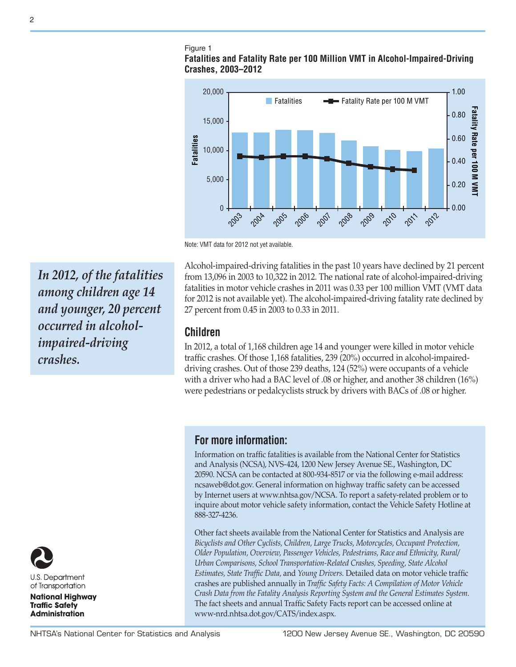#### Figure 1

## **Fatalities and Fatality Rate per 100 Million VMT in Alcohol-Impaired-Driving Crashes, 2003–2012**



Note: VMT data for 2012 not yet available.

Alcohol-impaired-driving fatalities in the past 10 years have declined by 21 percent from 13,096 in 2003 to 10,322 in 2012. The national rate of alcohol-impaired-driving fatalities in motor vehicle crashes in 2011 was 0.33 per 100 million VMT (VMT data for 2012 is not available yet). The alcohol-impaired-driving fatality rate declined by 27 percent from 0.45 in 2003 to 0.33 in 2011.

# **Children**

In 2012, a total of 1,168 children age 14 and younger were killed in motor vehicle traffic crashes. Of those 1,168 fatalities, 239 (20%) occurred in alcohol-impaireddriving crashes. Out of those 239 deaths, 124 (52%) were occupants of a vehicle with a driver who had a BAC level of .08 or higher, and another 38 children (16%) were pedestrians or pedalcyclists struck by drivers with BACs of .08 or higher.

# **For more information:**

Information on traffic fatalities is available from the National Center for Statistics and Analysis (NCSA), NVS-424, 1200 New Jersey Avenue SE., Washington, DC 20590. NCSA can be contacted at 800-934-8517 or via the following e-mail address: [ncsaweb@dot.gov](mailto:ncsaweb%40dot.gov?subject=). General information on highway traffic safety can be accessed by Internet users at<www.nhtsa.gov/NCSA>. To report a safety-related problem or to inquire about motor vehicle safety information, contact the Vehicle Safety Hotline at 888-327-4236.

Other fact sheets available from the National Center for Statistics and Analysis are *Bicyclists and Other Cyclists, Children, Large Trucks, Motorcycles, Occupant Protection, Older Population, Overview, Passenger Vehicles, Pedestrians, Race and Ethnicity, Rural/ Urban Comparisons, School Transportation-Related Crashes, Speeding, State Alcohol Estimates, State Traffic Data,* and *Young Drivers.* Detailed data on motor vehicle traffic crashes are published annually in *Traffic Safety Facts: A Compilation of Motor Vehicle Crash Data from the Fatality Analysis Reporting System and the General Estimates System.* The fact sheets and annual Traffic Safety Facts report can be accessed online at [www-nrd.nhtsa.dot.gov/CATS/index.aspx.](http://www-nrd.nhtsa.dot.gov/CATS/index.aspx)

*In 2012, of the fatalities among children age 14 and younger, 20 percent occurred in alcoholimpaired-driving crashes.*



U.S. Department of Transportation

**National Highway Traffic Safety Administration** 

2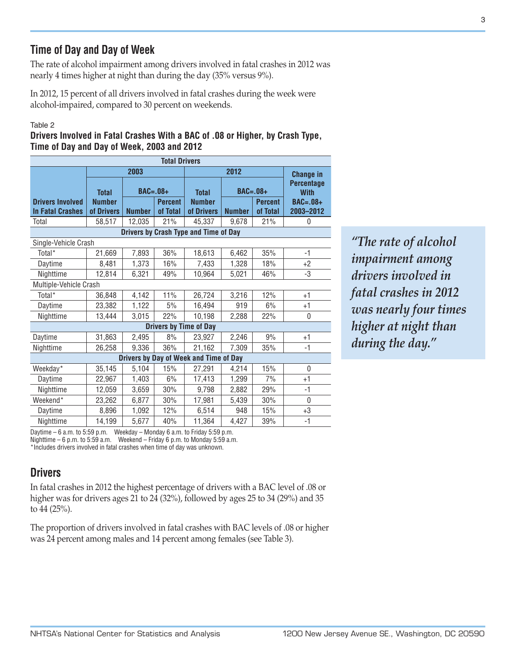# **Time of Day and Day of Week**

The rate of alcohol impairment among drivers involved in fatal crashes in 2012 was nearly 4 times higher at night than during the day (35% versus 9%).

In 2012, 15 percent of all drivers involved in fatal crashes during the week were alcohol-impaired, compared to 30 percent on weekends.

#### Table 2

**Drivers Involved in Fatal Crashes With a BAC of .08 or Higher, by Crash Type, Time of Day and Day of Week, 2003 and 2012**

| <b>Total Drivers</b>                               |                             |                                             |     |                                       |                  |                            |                                  |  |  |
|----------------------------------------------------|-----------------------------|---------------------------------------------|-----|---------------------------------------|------------------|----------------------------|----------------------------------|--|--|
|                                                    | 2003                        |                                             |     |                                       | <b>Change in</b> |                            |                                  |  |  |
|                                                    | <b>Total</b>                | $BAC=.08+$                                  |     | <b>Total</b>                          |                  | $BAC=.08+$                 | <b>Percentage</b><br><b>With</b> |  |  |
| <b>Drivers Involved</b><br><b>In Fatal Crashes</b> | <b>Number</b><br>of Drivers | <b>Percent</b><br><b>Number</b><br>of Total |     | <b>Number</b><br>of Drivers           | <b>Number</b>    | <b>Percent</b><br>of Total | <b>BAC=.08+</b><br>2003-2012     |  |  |
| Total                                              | 58,517                      | 12,035                                      | 21% | 45,337                                | 9,678            | 21%                        | 0                                |  |  |
|                                                    |                             |                                             |     | Drivers by Crash Type and Time of Day |                  |                            |                                  |  |  |
| Single-Vehicle Crash                               |                             |                                             |     |                                       |                  |                            |                                  |  |  |
| Total*                                             | 21,669                      | 7,893                                       | 36% | 18,613                                | 6,462            | 35%                        | $-1$                             |  |  |
| Daytime                                            | 8,481                       | 1,373                                       | 16% | 7,433                                 | 1,328            | 18%                        | $+2$                             |  |  |
| Nighttime                                          | 12,814                      | 6,321                                       | 49% | 10,964                                | 5,021            | 46%                        | -3                               |  |  |
| Multiple-Vehicle Crash                             |                             |                                             |     |                                       |                  |                            |                                  |  |  |
| Total*                                             | 36,848                      | 4,142                                       | 11% | 26,724                                | 3,216            | 12%                        | $+1$                             |  |  |
| Daytime                                            | 23,382                      | 1,122                                       | 5%  | 16,494                                | 919              | 6%                         | $+1$                             |  |  |
| Nighttime                                          | 13,444                      | 3,015                                       | 22% | 10,198                                | 2,288            | 22%                        | 0                                |  |  |
|                                                    |                             |                                             |     | <b>Drivers by Time of Day</b>         |                  |                            |                                  |  |  |
| Daytime                                            | 31,863                      | 2,495                                       | 8%  | 23.927                                | 2,246            | 9%                         | $+1$                             |  |  |
| Nighttime                                          | 26,258                      | 9,336                                       | 36% | 21,162                                | 7,309            | 35%                        | $-1$                             |  |  |
| Drivers by Day of Week and Time of Day             |                             |                                             |     |                                       |                  |                            |                                  |  |  |
| Weekday*                                           | 35,145                      | 5,104                                       | 15% | 27,291                                | 4,214            | 15%                        | $\mathbf{0}$                     |  |  |
| Daytime                                            | 22,967                      | 1,403                                       | 6%  | 17,413                                | 1,299            | 7%                         | $+1$                             |  |  |
| Nighttime                                          | 12,059                      | 3,659                                       | 30% | 9,798                                 | 2,882            | 29%                        | $-1$                             |  |  |
| Weekend*                                           | 23,262                      | 6,877                                       | 30% | 17,981                                | 5,439            | 30%                        | 0                                |  |  |
| Daytime                                            | 8,896                       | 1,092                                       | 12% | 6,514                                 | 948              | 15%                        | $+3$                             |  |  |
| Niahttime                                          | 14,199                      | 5,677                                       | 40% | 11,364                                | 4.427            | 39%                        | $-1$                             |  |  |

*"The rate of alcohol impairment among drivers involved in fatal crashes in 2012 was nearly four times higher at night than during the day."*

Daytime – 6 a.m. to 5:59 p.m. Weekday – Monday 6 a.m. to Friday 5:59 p.m. Nighttime – 6 p.m. to 5:59 a.m. Weekend – Friday 6 p.m. to Monday 5:59 a.m.

\*Includes drivers involved in fatal crashes when time of day was unknown.

# **Drivers**

In fatal crashes in 2012 the highest percentage of drivers with a BAC level of .08 or higher was for drivers ages 21 to 24 (32%), followed by ages 25 to 34 (29%) and 35 to 44 (25%).

The proportion of drivers involved in fatal crashes with BAC levels of .08 or higher was 24 percent among males and 14 percent among females (see Table 3).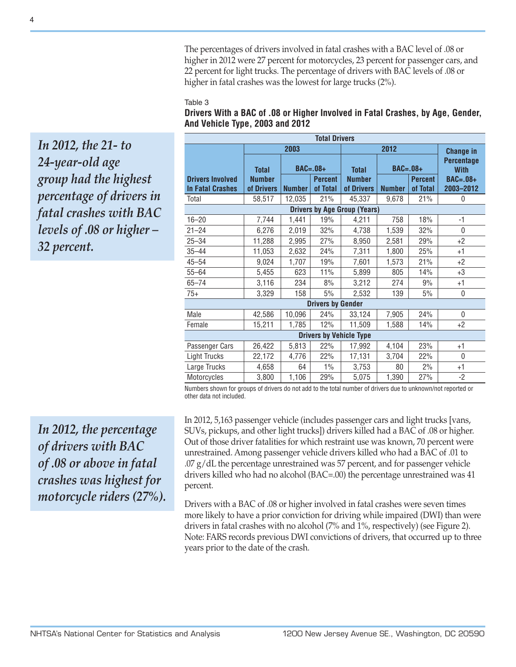The percentages of drivers involved in fatal crashes with a BAC level of .08 or higher in 2012 were 27 percent for motorcycles, 23 percent for passenger cars, and 22 percent for light trucks. The percentage of drivers with BAC levels of .08 or higher in fatal crashes was the lowest for large trucks (2%).

#### Table 3

| <b>Total Drivers</b>                               |                                             |                                                           |     |                                             |                             |                            |                                                                  |  |  |  |
|----------------------------------------------------|---------------------------------------------|-----------------------------------------------------------|-----|---------------------------------------------|-----------------------------|----------------------------|------------------------------------------------------------------|--|--|--|
|                                                    |                                             | 2003                                                      |     |                                             | <b>Change in</b>            |                            |                                                                  |  |  |  |
| <b>Drivers Involved</b><br><b>In Fatal Crashes</b> | <b>Total</b><br><b>Number</b><br>of Drivers | $BAC=.08+$<br><b>Percent</b><br><b>Number</b><br>of Total |     | <b>Total</b><br><b>Number</b><br>of Drivers | $BAC=.08+$<br><b>Number</b> | <b>Percent</b><br>of Total | <b>Percentage</b><br><b>With</b><br><b>BAC=.08+</b><br>2003-2012 |  |  |  |
| Total                                              | 58,517                                      | 12,035                                                    | 21% | 45,337                                      | 9,678                       | 21%                        | 0                                                                |  |  |  |
| <b>Drivers by Age Group (Years)</b>                |                                             |                                                           |     |                                             |                             |                            |                                                                  |  |  |  |
| $16 - 20$                                          | 7,744                                       | 1,441                                                     | 19% | 4,211                                       | 758                         | 18%                        | $-1$                                                             |  |  |  |
| $21 - 24$                                          | 6,276                                       | 2,019                                                     | 32% | 4,738                                       | 1,539                       | 32%                        | $\Omega$                                                         |  |  |  |
| $25 - 34$                                          | 11,288                                      | 2,995                                                     | 27% | 8,950                                       | 2,581                       | 29%                        | $+2$                                                             |  |  |  |
| $35 - 44$                                          | 11,053                                      | 2,632                                                     | 24% | 7,311                                       | 1,800                       | 25%                        | $+1$                                                             |  |  |  |
| $45 - 54$                                          | 9,024                                       | 1,707                                                     | 19% | 7,601                                       | 1,573                       | 21%                        | $+2$                                                             |  |  |  |
| $55 - 64$                                          | 5,455                                       | 623                                                       | 11% | 5,899                                       | 805                         | 14%                        | $+3$                                                             |  |  |  |
| $65 - 74$                                          | 3,116                                       | 234                                                       | 8%  | 3,212                                       | 274                         | 9%                         | $+1$                                                             |  |  |  |
| $75+$                                              | 3,329                                       | 158                                                       | 5%  | 2,532                                       | 139                         | 5%                         | $\mathbf 0$                                                      |  |  |  |
| <b>Drivers by Gender</b>                           |                                             |                                                           |     |                                             |                             |                            |                                                                  |  |  |  |
| Male                                               | 42,586                                      | 10,096                                                    | 24% | 33,124                                      | 7,905                       | 24%                        | $\mathbf{0}$                                                     |  |  |  |
| Female                                             | 15,211                                      | 1,785                                                     | 12% | 11,509                                      | 1,588                       | 14%                        | $+2$                                                             |  |  |  |
| <b>Drivers by Vehicle Type</b>                     |                                             |                                                           |     |                                             |                             |                            |                                                                  |  |  |  |
| Passenger Cars                                     | 26,422                                      | 5,813                                                     | 22% | 17,992                                      | 4,104                       | 23%                        | $+1$                                                             |  |  |  |
| <b>Light Trucks</b>                                | 22,172                                      | 4,776                                                     | 22% | 17,131                                      | 3,704                       | 22%                        | $\mathbf{0}$                                                     |  |  |  |
| Large Trucks                                       | 4,658                                       | 64                                                        | 1%  | 3,753                                       | 80                          | 2%                         | $+1$                                                             |  |  |  |
| Motorcycles                                        | 3,800                                       | 1,106                                                     | 29% | 5,075                                       | 1,390                       | 27%                        | $-2$                                                             |  |  |  |

#### **Drivers With a BAC of .08 or Higher Involved in Fatal Crashes, by Age, Gender, And Vehicle Type, 2003 and 2012**

Numbers shown for groups of drivers do not add to the total number of drivers due to unknown/not reported or other data not included.

*In 2012, the percentage of drivers with BAC of .08 or above in fatal crashes was highest for motorcycle riders (27%).* In 2012, 5,163 passenger vehicle (includes passenger cars and light trucks [vans, SUVs, pickups, and other light trucks]) drivers killed had a BAC of .08 or higher. Out of those driver fatalities for which restraint use was known, 70 percent were unrestrained. Among passenger vehicle drivers killed who had a BAC of .01 to  $.07$  g/dL the percentage unrestrained was 57 percent, and for passenger vehicle drivers killed who had no alcohol (BAC=.00) the percentage unrestrained was 41 percent.

Drivers with a BAC of .08 or higher involved in fatal crashes were seven times more likely to have a prior conviction for driving while impaired (DWI) than were drivers in fatal crashes with no alcohol (7% and 1%, respectively) (see Figure 2). Note: FARS records previous DWI convictions of drivers, that occurred up to three years prior to the date of the crash.

*In 2012, the 21- to* 

*group had the highest* 

*percentage of drivers in fatal crashes with BAC levels of .08 or higher –* 

*24-year-old age* 

*32 percent.*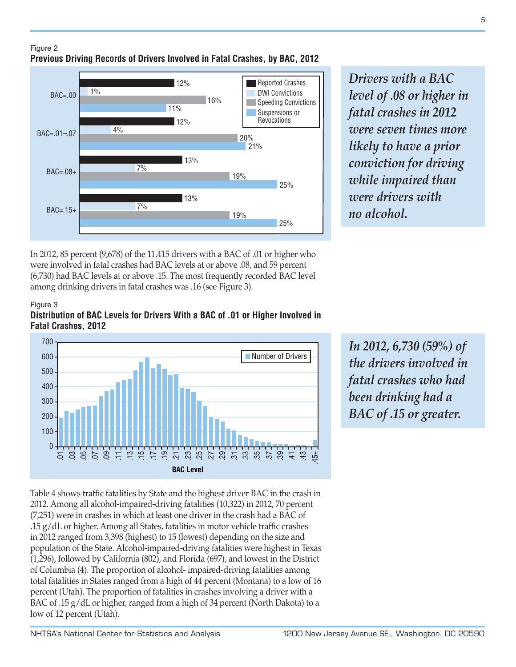



*Drivers with a BAC level of .08 or higher in fatal crashes in 2012 were seven times more likely to have a prior conviction for driving while impaired than were drivers with no alcohol.*

In 2012, 85 percent (9,678) of the 11,415 drivers with a BAC of .01 or higher who were involved in fatal crashes had BAC levels at or above .08, and 59 percent (6,730) had BAC levels at or above .15. The most frequently recorded BAC level among drinking drivers in fatal crashes was .16 (see Figure 3).

Figure 3

**Distribution of BAC Levels for Drivers With a BAC of .01 or Higher Involved in Fatal Crashes, 2012**



*In 2012, 6,730 (59%) of the drivers involved in fatal crashes who had been drinking had a BAC of .15 or greater.*

Table 4 shows traffic fatalities by State and the highest driver BAC in the crash in 2012. Among all alcohol-impaired-driving fatalities (10,322) in 2012, 70 percent (7,251) were in crashes in which at least one driver in the crash had a BAC of .15 g/dL or higher. Among all States, fatalities in motor vehicle traffic crashes in 2012 ranged from 3,398 (highest) to 15 (lowest) depending on the size and population of the State. Alcohol-impaired-driving fatalities were highest in Texas (1,296), followed by California (802), and Florida (697), and lowest in the District of Columbia (4). The proportion of alcohol- impaired-driving fatalities among total fatalities in States ranged from a high of 44 percent (Montana) to a low of 16 percent (Utah). The proportion of fatalities in crashes involving a driver with a BAC of .15 g/dL or higher, ranged from a high of 34 percent (North Dakota) to a low of 12 percent (Utah).

5